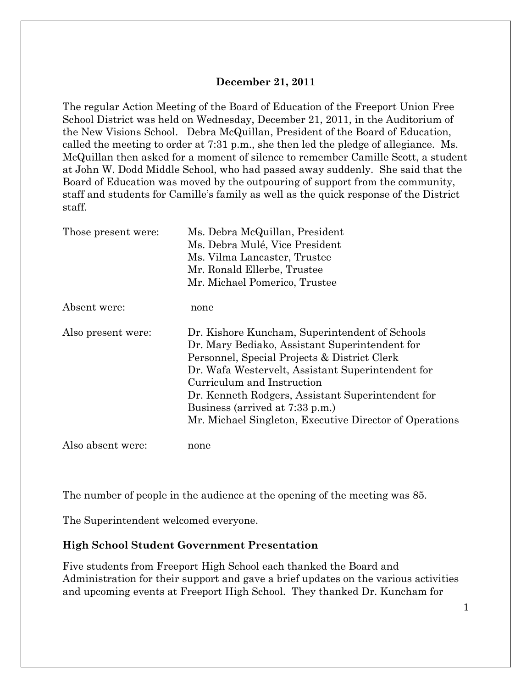#### **December 21, 2011**

The regular Action Meeting of the Board of Education of the Freeport Union Free School District was held on Wednesday, December 21, 2011, in the Auditorium of the New Visions School. Debra McQuillan, President of the Board of Education, called the meeting to order at 7:31 p.m., she then led the pledge of allegiance. Ms. McQuillan then asked for a moment of silence to remember Camille Scott, a student at John W. Dodd Middle School, who had passed away suddenly. She said that the Board of Education was moved by the outpouring of support from the community, staff and students for Camille's family as well as the quick response of the District staff.

| Those present were: | Ms. Debra McQuillan, President<br>Ms. Debra Mulé, Vice President<br>Ms. Vilma Lancaster, Trustee<br>Mr. Ronald Ellerbe, Trustee<br>Mr. Michael Pomerico, Trustee                                                                                                                                                                                                                       |  |  |
|---------------------|----------------------------------------------------------------------------------------------------------------------------------------------------------------------------------------------------------------------------------------------------------------------------------------------------------------------------------------------------------------------------------------|--|--|
| Absent were:        | none                                                                                                                                                                                                                                                                                                                                                                                   |  |  |
| Also present were:  | Dr. Kishore Kuncham, Superintendent of Schools<br>Dr. Mary Bediako, Assistant Superintendent for<br>Personnel, Special Projects & District Clerk<br>Dr. Wafa Westervelt, Assistant Superintendent for<br>Curriculum and Instruction<br>Dr. Kenneth Rodgers, Assistant Superintendent for<br>Business (arrived at 7:33 p.m.)<br>Mr. Michael Singleton, Executive Director of Operations |  |  |
| Also absent were:   | none                                                                                                                                                                                                                                                                                                                                                                                   |  |  |

The number of people in the audience at the opening of the meeting was 85.

The Superintendent welcomed everyone.

#### **High School Student Government Presentation**

Five students from Freeport High School each thanked the Board and Administration for their support and gave a brief updates on the various activities and upcoming events at Freeport High School. They thanked Dr. Kuncham for

1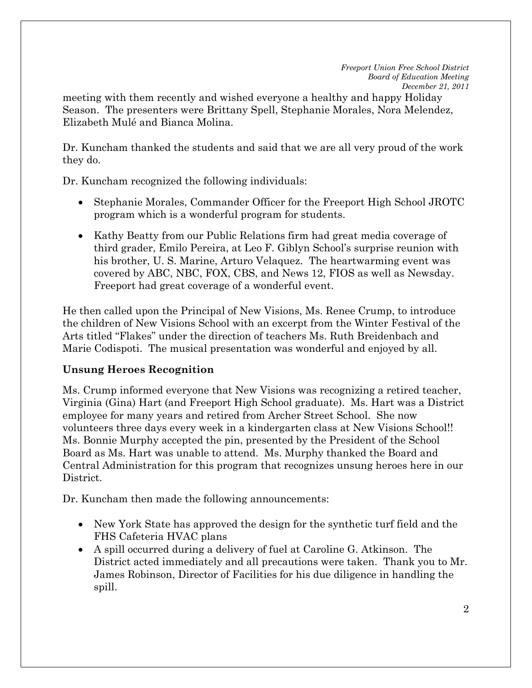meeting with them recently and wished everyone a healthy and happy Holiday Season. The presenters were Brittany Spell, Stephanie Morales, Nora Melendez, Elizabeth Mulé and Bianca Molina.

Dr. Kuncham thanked the students and said that we are all very proud of the work they do.

Dr. Kuncham recognized the following individuals:

- Stephanie Morales, Commander Officer for the Freeport High School JROTC program which is a wonderful program for students.
- Kathy Beatty from our Public Relations firm had great media coverage of third grader, Emilo Pereira, at Leo F. Giblyn School's surprise reunion with his brother, U. S. Marine, Arturo Velaquez. The heartwarming event was covered by ABC, NBC, FOX, CBS, and News 12, FIOS as well as Newsday. Freeport had great coverage of a wonderful event.

He then called upon the Principal of New Visions, Ms. Renee Crump, to introduce the children of New Visions School with an excerpt from the Winter Festival of the Arts titled "Flakes" under the direction of teachers Ms. Ruth Breidenbach and Marie Codispoti. The musical presentation was wonderful and enjoyed by all.

## **Unsung Heroes Recognition**

Ms. Crump informed everyone that New Visions was recognizing a retired teacher, Virginia (Gina) Hart (and Freeport High School graduate). Ms. Hart was a District employee for many years and retired from Archer Street School. She now volunteers three days every week in a kindergarten class at New Visions School!! Ms. Bonnie Murphy accepted the pin, presented by the President of the School Board as Ms. Hart was unable to attend. Ms. Murphy thanked the Board and Central Administration for this program that recognizes unsung heroes here in our District.

Dr. Kuncham then made the following announcements:

- New York State has approved the design for the synthetic turf field and the FHS Cafeteria HVAC plans
- A spill occurred during a delivery of fuel at Caroline G. Atkinson. The District acted immediately and all precautions were taken. Thank you to Mr. James Robinson, Director of Facilities for his due diligence in handling the spill.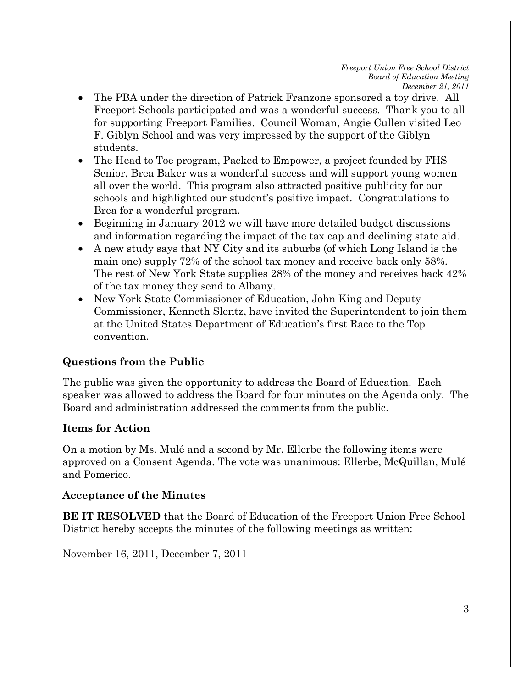- The PBA under the direction of Patrick Franzone sponsored a toy drive. All Freeport Schools participated and was a wonderful success. Thank you to all for supporting Freeport Families. Council Woman, Angie Cullen visited Leo F. Giblyn School and was very impressed by the support of the Giblyn students.
- The Head to Toe program, Packed to Empower, a project founded by FHS Senior, Brea Baker was a wonderful success and will support young women all over the world. This program also attracted positive publicity for our schools and highlighted our student's positive impact. Congratulations to Brea for a wonderful program.
- Beginning in January 2012 we will have more detailed budget discussions and information regarding the impact of the tax cap and declining state aid.
- A new study says that NY City and its suburbs (of which Long Island is the main one) supply 72% of the school tax money and receive back only 58%. The rest of New York State supplies 28% of the money and receives back 42% of the tax money they send to Albany.
- New York State Commissioner of Education, John King and Deputy Commissioner, Kenneth Slentz, have invited the Superintendent to join them at the United States Department of Education's first Race to the Top convention.

# **Questions from the Public**

The public was given the opportunity to address the Board of Education. Each speaker was allowed to address the Board for four minutes on the Agenda only. The Board and administration addressed the comments from the public.

## **Items for Action**

On a motion by Ms. Mulé and a second by Mr. Ellerbe the following items were approved on a Consent Agenda. The vote was unanimous: Ellerbe, McQuillan, Mulé and Pomerico.

## **Acceptance of the Minutes**

**BE IT RESOLVED** that the Board of Education of the Freeport Union Free School District hereby accepts the minutes of the following meetings as written:

November 16, 2011, December 7, 2011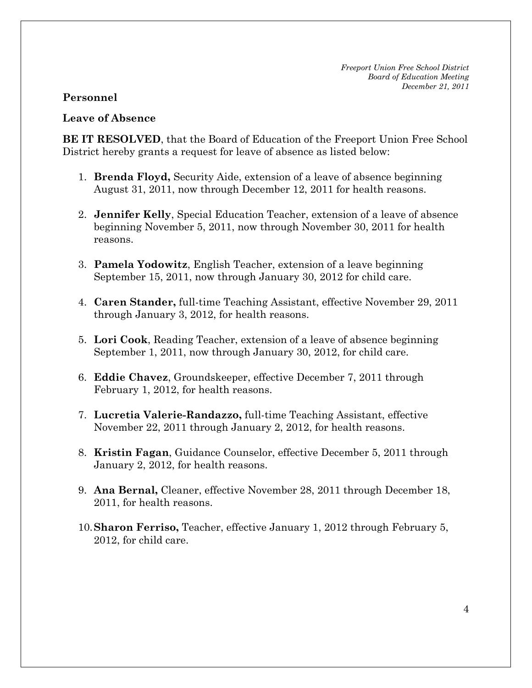#### **Personnel**

#### **Leave of Absence**

**BE IT RESOLVED**, that the Board of Education of the Freeport Union Free School District hereby grants a request for leave of absence as listed below:

- 1. **Brenda Floyd,** Security Aide, extension of a leave of absence beginning August 31, 2011, now through December 12, 2011 for health reasons.
- 2. **Jennifer Kelly**, Special Education Teacher, extension of a leave of absence beginning November 5, 2011, now through November 30, 2011 for health reasons.
- 3. **Pamela Yodowitz**, English Teacher, extension of a leave beginning September 15, 2011, now through January 30, 2012 for child care.
- 4. **Caren Stander,** full-time Teaching Assistant, effective November 29, 2011 through January 3, 2012, for health reasons.
- 5. **Lori Cook**, Reading Teacher, extension of a leave of absence beginning September 1, 2011, now through January 30, 2012, for child care.
- 6. **Eddie Chavez**, Groundskeeper, effective December 7, 2011 through February 1, 2012, for health reasons.
- 7. **Lucretia Valerie-Randazzo,** full-time Teaching Assistant, effective November 22, 2011 through January 2, 2012, for health reasons.
- 8. **Kristin Fagan**, Guidance Counselor, effective December 5, 2011 through January 2, 2012, for health reasons.
- 9. **Ana Bernal,** Cleaner, effective November 28, 2011 through December 18, 2011, for health reasons.
- 10.**Sharon Ferriso,** Teacher, effective January 1, 2012 through February 5, 2012, for child care.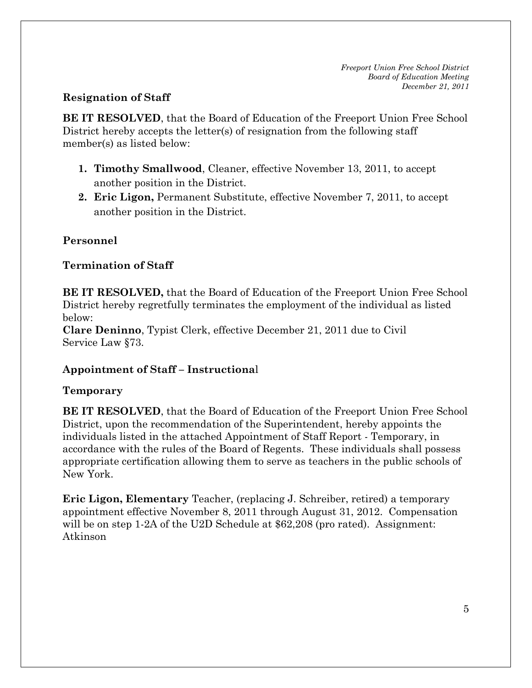## **Resignation of Staff**

**BE IT RESOLVED**, that the Board of Education of the Freeport Union Free School District hereby accepts the letter(s) of resignation from the following staff member(s) as listed below:

- **1. Timothy Smallwood**, Cleaner, effective November 13, 2011, to accept another position in the District.
- **2. Eric Ligon,** Permanent Substitute, effective November 7, 2011, to accept another position in the District.

# **Personnel**

# **Termination of Staff**

**BE IT RESOLVED,** that the Board of Education of the Freeport Union Free School District hereby regretfully terminates the employment of the individual as listed below:

**Clare Deninno**, Typist Clerk, effective December 21, 2011 due to Civil Service Law §73.

# **Appointment of Staff – Instructiona**l

## **Temporary**

**BE IT RESOLVED**, that the Board of Education of the Freeport Union Free School District, upon the recommendation of the Superintendent, hereby appoints the individuals listed in the attached Appointment of Staff Report - Temporary, in accordance with the rules of the Board of Regents. These individuals shall possess appropriate certification allowing them to serve as teachers in the public schools of New York.

**Eric Ligon, Elementary** Teacher, (replacing J. Schreiber, retired) a temporary appointment effective November 8, 2011 through August 31, 2012. Compensation will be on step 1-2A of the U2D Schedule at \$62,208 (pro rated). Assignment: Atkinson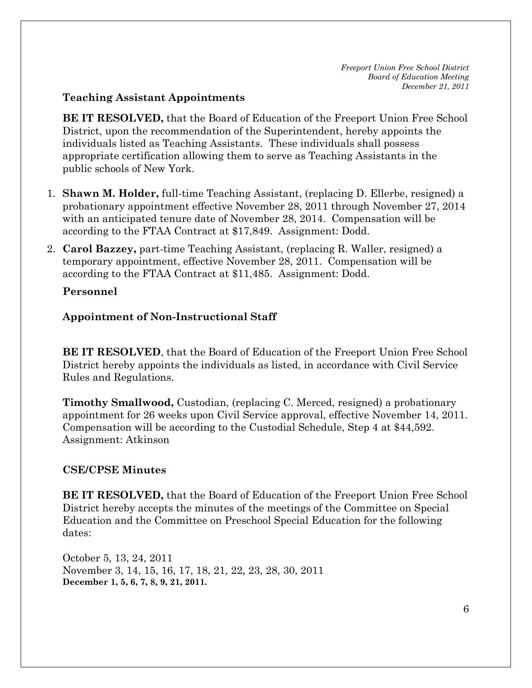#### **Teaching Assistant Appointments**

**BE IT RESOLVED,** that the Board of Education of the Freeport Union Free School District, upon the recommendation of the Superintendent, hereby appoints the individuals listed as Teaching Assistants. These individuals shall possess appropriate certification allowing them to serve as Teaching Assistants in the public schools of New York.

- 1. **Shawn M. Holder,** full-time Teaching Assistant, (replacing D. Ellerbe, resigned) a probationary appointment effective November 28, 2011 through November 27, 2014 with an anticipated tenure date of November 28, 2014. Compensation will be according to the FTAA Contract at \$17,849. Assignment: Dodd.
- 2. **Carol Bazzey,** part-time Teaching Assistant, (replacing R. Waller, resigned) a temporary appointment, effective November 28, 2011. Compensation will be according to the FTAA Contract at \$11,485. Assignment: Dodd.

#### **Personnel**

## **Appointment of Non-Instructional Staff**

**BE IT RESOLVED**, that the Board of Education of the Freeport Union Free School District hereby appoints the individuals as listed, in accordance with Civil Service Rules and Regulations.

**Timothy Smallwood,** Custodian, (replacing C. Merced, resigned) a probationary appointment for 26 weeks upon Civil Service approval, effective November 14, 2011. Compensation will be according to the Custodial Schedule, Step 4 at \$44,592. Assignment: Atkinson

## **CSE/CPSE Minutes**

**BE IT RESOLVED,** that the Board of Education of the Freeport Union Free School District hereby accepts the minutes of the meetings of the Committee on Special Education and the Committee on Preschool Special Education for the following dates:

October 5, 13, 24, 2011 November 3, 14, 15, 16, 17, 18, 21, 22, 23, 28, 30, 2011 **December 1, 5, 6, 7, 8, 9, 21, 2011.**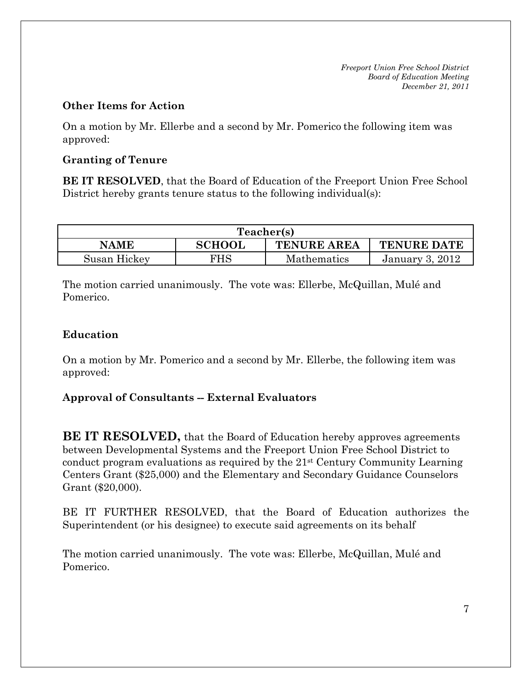#### **Other Items for Action**

On a motion by Mr. Ellerbe and a second by Mr. Pomerico the following item was approved:

### **Granting of Tenure**

**BE IT RESOLVED**, that the Board of Education of the Freeport Union Free School District hereby grants tenure status to the following individual(s):

| Teacher(s)   |               |                    |                    |  |
|--------------|---------------|--------------------|--------------------|--|
| NAME         | <b>SCHOOL</b> | <b>TENURE AREA</b> | <b>TENURE DATE</b> |  |
| Susan Hickey | FHS           | <b>Mathematics</b> | January 3, 2012    |  |

The motion carried unanimously. The vote was: Ellerbe, McQuillan, Mulé and Pomerico.

## **Education**

On a motion by Mr. Pomerico and a second by Mr. Ellerbe, the following item was approved:

## **Approval of Consultants -- External Evaluators**

**BE IT RESOLVED,** that the Board of Education hereby approves agreements between Developmental Systems and the Freeport Union Free School District to conduct program evaluations as required by the 21st Century Community Learning Centers Grant (\$25,000) and the Elementary and Secondary Guidance Counselors Grant (\$20,000).

BE IT FURTHER RESOLVED, that the Board of Education authorizes the Superintendent (or his designee) to execute said agreements on its behalf

The motion carried unanimously. The vote was: Ellerbe, McQuillan, Mulé and Pomerico.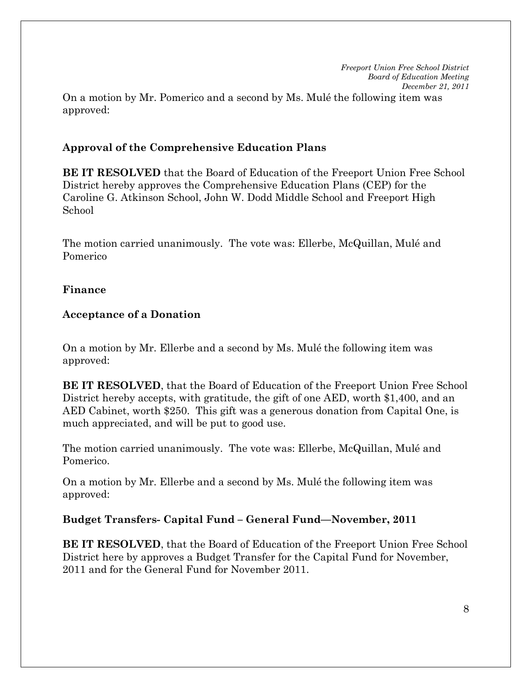*Freeport Union Free School District Board of Education Meeting December 21, 2011*  On a motion by Mr. Pomerico and a second by Ms. Mulé the following item was approved:

#### **Approval of the Comprehensive Education Plans**

**BE IT RESOLVED** that the Board of Education of the Freeport Union Free School District hereby approves the Comprehensive Education Plans (CEP) for the Caroline G. Atkinson School, John W. Dodd Middle School and Freeport High School

The motion carried unanimously. The vote was: Ellerbe, McQuillan, Mulé and Pomerico

#### **Finance**

#### **Acceptance of a Donation**

On a motion by Mr. Ellerbe and a second by Ms. Mulé the following item was approved:

**BE IT RESOLVED**, that the Board of Education of the Freeport Union Free School District hereby accepts, with gratitude, the gift of one AED, worth \$1,400, and an AED Cabinet, worth \$250. This gift was a generous donation from Capital One, is much appreciated, and will be put to good use.

The motion carried unanimously. The vote was: Ellerbe, McQuillan, Mulé and Pomerico.

On a motion by Mr. Ellerbe and a second by Ms. Mulé the following item was approved:

#### **Budget Transfers- Capital Fund – General Fund—November, 2011**

**BE IT RESOLVED**, that the Board of Education of the Freeport Union Free School District here by approves a Budget Transfer for the Capital Fund for November, 2011 and for the General Fund for November 2011.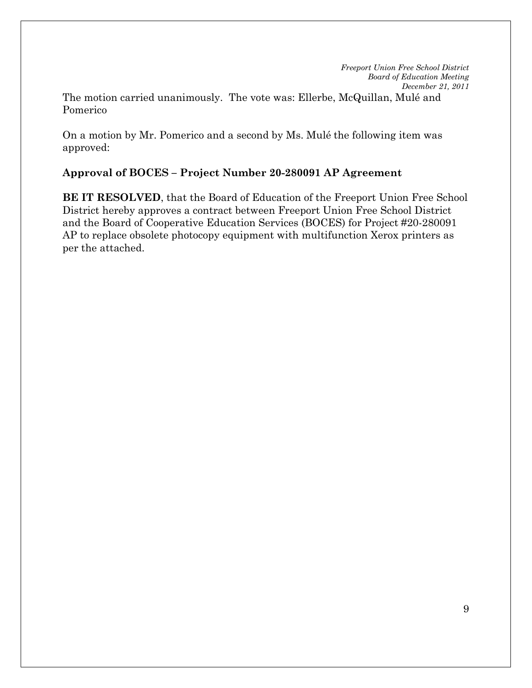The motion carried unanimously. The vote was: Ellerbe, McQuillan, Mulé and Pomerico

On a motion by Mr. Pomerico and a second by Ms. Mulé the following item was approved:

## **Approval of BOCES – Project Number 20-280091 AP Agreement**

**BE IT RESOLVED**, that the Board of Education of the Freeport Union Free School District hereby approves a contract between Freeport Union Free School District and the Board of Cooperative Education Services (BOCES) for Project #20-280091 AP to replace obsolete photocopy equipment with multifunction Xerox printers as per the attached.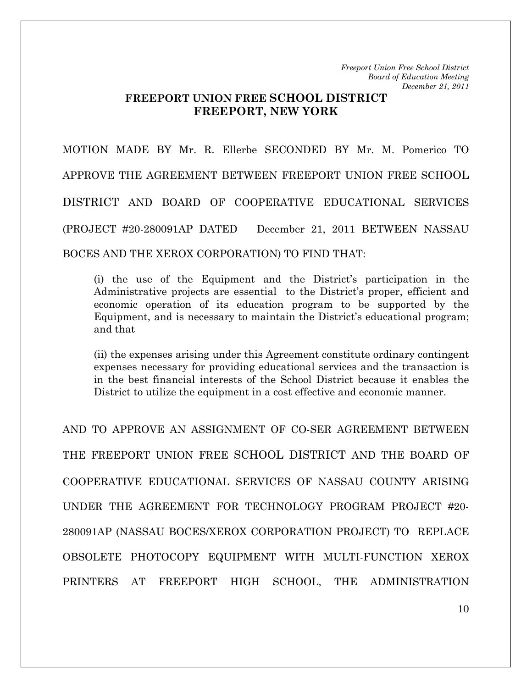## **FREEPORT UNION FREE SCHOOL DISTRICT FREEPORT, NEW YORK**

MOTION MADE BY Mr. R. Ellerbe SECONDED BY Mr. M. Pomerico TO APPROVE THE AGREEMENT BETWEEN FREEPORT UNION FREE SCHOOL DISTRICT AND BOARD OF COOPERATIVE EDUCATIONAL SERVICES (PROJECT #20-280091AP DATED December 21, 2011 BETWEEN NASSAU BOCES AND THE XEROX CORPORATION) TO FIND THAT:

(i) the use of the Equipment and the District's participation in the Administrative projects are essential to the District's proper, efficient and economic operation of its education program to be supported by the Equipment, and is necessary to maintain the District's educational program; and that

(ii) the expenses arising under this Agreement constitute ordinary contingent expenses necessary for providing educational services and the transaction is in the best financial interests of the School District because it enables the District to utilize the equipment in a cost effective and economic manner.

AND TO APPROVE AN ASSIGNMENT OF CO-SER AGREEMENT BETWEEN THE FREEPORT UNION FREE SCHOOL DISTRICT AND THE BOARD OF COOPERATIVE EDUCATIONAL SERVICES OF NASSAU COUNTY ARISING UNDER THE AGREEMENT FOR TECHNOLOGY PROGRAM PROJECT #20- 280091AP (NASSAU BOCES/XEROX CORPORATION PROJECT) TO REPLACE OBSOLETE PHOTOCOPY EQUIPMENT WITH MULTI-FUNCTION XEROX PRINTERS AT FREEPORT HIGH SCHOOL, THE ADMINISTRATION

10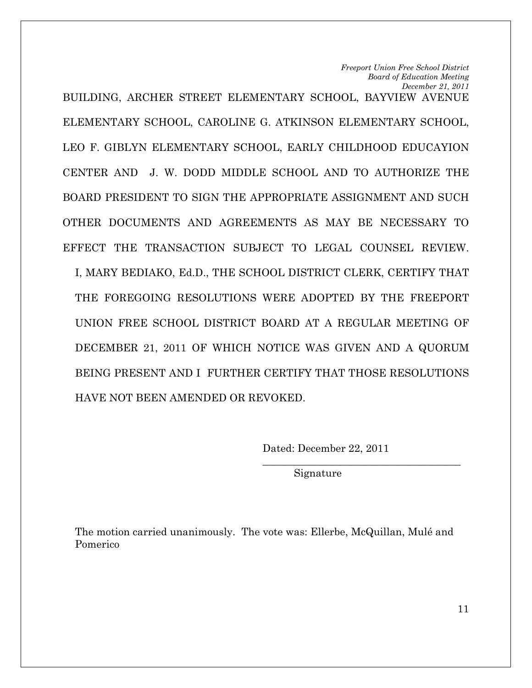*Board of Education Meeting December 21, 2011*  BUILDING, ARCHER STREET ELEMENTARY SCHOOL, BAYVIEW AVENUE ELEMENTARY SCHOOL, CAROLINE G. ATKINSON ELEMENTARY SCHOOL, LEO F. GIBLYN ELEMENTARY SCHOOL, EARLY CHILDHOOD EDUCAYION CENTER AND J. W. DODD MIDDLE SCHOOL AND TO AUTHORIZE THE BOARD PRESIDENT TO SIGN THE APPROPRIATE ASSIGNMENT AND SUCH OTHER DOCUMENTS AND AGREEMENTS AS MAY BE NECESSARY TO EFFECT THE TRANSACTION SUBJECT TO LEGAL COUNSEL REVIEW. I, MARY BEDIAKO, Ed.D., THE SCHOOL DISTRICT CLERK, CERTIFY THAT THE FOREGOING RESOLUTIONS WERE ADOPTED BY THE FREEPORT UNION FREE SCHOOL DISTRICT BOARD AT A REGULAR MEETING OF DECEMBER 21, 2011 OF WHICH NOTICE WAS GIVEN AND A QUORUM BEING PRESENT AND I FURTHER CERTIFY THAT THOSE RESOLUTIONS HAVE NOT BEEN AMENDED OR REVOKED.

Dated: December 22, 2011

 $\mathcal{L}_\text{max}$  , and the set of the set of the set of the set of the set of the set of the set of the set of the set of the set of the set of the set of the set of the set of the set of the set of the set of the set of the

*Freeport Union Free School District* 

Signature

The motion carried unanimously. The vote was: Ellerbe, McQuillan, Mulé and Pomerico